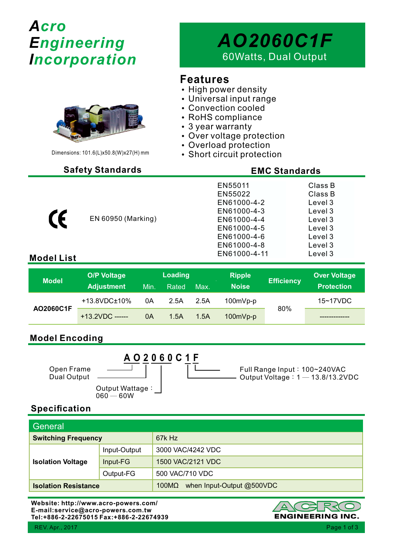# *Acro Engineering Incorporation*

# *AO2060C1F* 60Watts, Dual Output

### **Features**

- High power density
- Universal input range
- Convection cooled
- RoHS compliance
- $\cdot$  3 year warranty
- Over voltage protection
- Overload protection
- Short circuit protection

# Dimensions: 101.6(L)x50.8(W)x27(H) mm

EN 60950 (Marking)

#### **Safety Standards EMC Standards**

| EN55011      | Class B |
|--------------|---------|
| EN55022      | Class B |
| EN61000-4-2  | Level 3 |
| EN61000-4-3  | Level 3 |
| EN61000-4-4  | Level 3 |
| EN61000-4-5  | Level 3 |
| EN61000-4-6  | Level 3 |
| EN61000-4-8  | Level 3 |
| EN61000-4-11 | Level 3 |
|              |         |

#### **Model List**

CE

| <b>Model</b> | <b>O/P Voltage</b><br><b>Adjustment</b> | Min. | <b>Loading</b><br>Rated | Max. | <b>Ripple</b><br><b>Noise</b> | <b>Efficiency</b> | <b>Over Voltage</b><br><b>Protection</b> |
|--------------|-----------------------------------------|------|-------------------------|------|-------------------------------|-------------------|------------------------------------------|
| AO2060C1F    | +13.8VDC±10%                            | 0A   | 2.5A                    | 2.5A | 100mVp-p                      |                   | $15 - 17$ VDC                            |
|              | $+13.2VDC$ ------                       | 0A   | 1.5A                    | 1.5A | 100mVp-p                      | 80%               |                                          |

#### **Model Encoding**

**A O 2 0 6 0 C 1 F** Open Frame Dual Output Output Wattage:  $060 - 60W$ Full Range Input: 100~240VAC Output Voltage:1 ─ 13.8/13.2VDC

#### **Specification**

| General                     |              |                                    |  |
|-----------------------------|--------------|------------------------------------|--|
| <b>Switching Frequency</b>  |              | 67k Hz                             |  |
| <b>Isolation Voltage</b>    | Input-Output | 3000 VAC/4242 VDC                  |  |
|                             | Input-FG     | 1500 VAC/2121 VDC                  |  |
|                             | Output-FG    | 500 VAC/710 VDC                    |  |
| <b>Isolation Resistance</b> |              | when Input-Output @500VDC<br>100MΩ |  |

**Website: http://www.acro-powers.com/ E-mail:service@acro-powers.com.tw Tel:+886-2-22675015 Fax:+886-2-22674939**

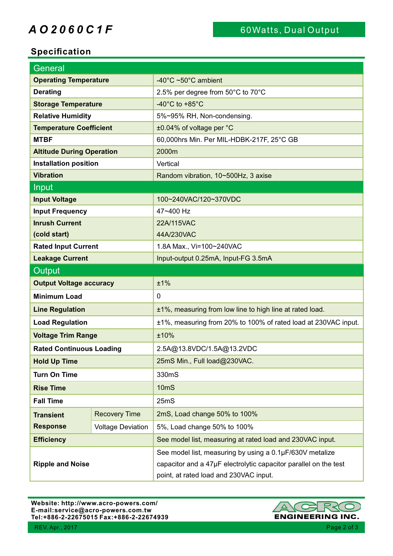## **A O 2 0 6 0 C 1 F** 60Watts, Dual Output

#### **Specification**

| General                                  |                          |                                                                                                                                                                        |  |  |
|------------------------------------------|--------------------------|------------------------------------------------------------------------------------------------------------------------------------------------------------------------|--|--|
| <b>Operating Temperature</b>             |                          | $-40^{\circ}$ C ~50 $^{\circ}$ C ambient                                                                                                                               |  |  |
| <b>Derating</b>                          |                          | 2.5% per degree from 50°C to 70°C                                                                                                                                      |  |  |
| <b>Storage Temperature</b>               |                          | -40 $^{\circ}$ C to +85 $^{\circ}$ C                                                                                                                                   |  |  |
| <b>Relative Humidity</b>                 |                          | 5%~95% RH, Non-condensing.                                                                                                                                             |  |  |
| <b>Temperature Coefficient</b>           |                          | ±0.04% of voltage per °C                                                                                                                                               |  |  |
| <b>MTBF</b>                              |                          | 60,000hrs Min. Per MIL-HDBK-217F, 25°C GB                                                                                                                              |  |  |
| <b>Altitude During Operation</b>         |                          | 2000m                                                                                                                                                                  |  |  |
| <b>Installation position</b>             |                          | Vertical                                                                                                                                                               |  |  |
| <b>Vibration</b>                         |                          | Random vibration, 10~500Hz, 3 axise                                                                                                                                    |  |  |
| <b>Input</b>                             |                          |                                                                                                                                                                        |  |  |
| <b>Input Voltage</b>                     |                          | 100~240VAC/120~370VDC                                                                                                                                                  |  |  |
| <b>Input Frequency</b>                   |                          | 47~400 Hz                                                                                                                                                              |  |  |
| <b>Inrush Current</b>                    |                          | 22A/115VAC                                                                                                                                                             |  |  |
| (cold start)                             |                          | 44A/230VAC                                                                                                                                                             |  |  |
| <b>Rated Input Current</b>               |                          | 1.8A Max., Vi=100~240VAC                                                                                                                                               |  |  |
| <b>Leakage Current</b>                   |                          | Input-output 0.25mA, Input-FG 3.5mA                                                                                                                                    |  |  |
| Output                                   |                          |                                                                                                                                                                        |  |  |
| <b>Output Voltage accuracy</b>           |                          | ±1%                                                                                                                                                                    |  |  |
| <b>Minimum Load</b>                      |                          | $\mathbf 0$                                                                                                                                                            |  |  |
| <b>Line Regulation</b>                   |                          | ±1%, measuring from low line to high line at rated load.                                                                                                               |  |  |
| <b>Load Regulation</b>                   |                          | ±1%, measuring from 20% to 100% of rated load at 230VAC input.                                                                                                         |  |  |
| <b>Voltage Trim Range</b>                |                          | ±10%                                                                                                                                                                   |  |  |
| <b>Rated Continuous Loading</b>          |                          | 2.5A@13.8VDC/1.5A@13.2VDC                                                                                                                                              |  |  |
| <b>Hold Up Time</b>                      |                          | 25mS Min., Full load@230VAC.                                                                                                                                           |  |  |
| <b>Turn On Time</b>                      |                          | 330mS                                                                                                                                                                  |  |  |
| <b>Rise Time</b>                         |                          | 10mS                                                                                                                                                                   |  |  |
| <b>Fall Time</b>                         |                          | 25mS                                                                                                                                                                   |  |  |
| <b>Recovery Time</b><br><b>Transient</b> |                          | 2mS, Load change 50% to 100%                                                                                                                                           |  |  |
| <b>Response</b>                          | <b>Voltage Deviation</b> | 5%, Load change 50% to 100%                                                                                                                                            |  |  |
| <b>Efficiency</b>                        |                          | See model list, measuring at rated load and 230VAC input.                                                                                                              |  |  |
| <b>Ripple and Noise</b>                  |                          | See model list, measuring by using a 0.1µF/630V metalize<br>capacitor and a 47µF electrolytic capacitor parallel on the test<br>point, at rated load and 230VAC input. |  |  |

**Website: http://www.acro-powers.com/ E-mail:service@acro-powers.com.tw Tel:+886-2-22675015 Fax:+886-2-22674939**